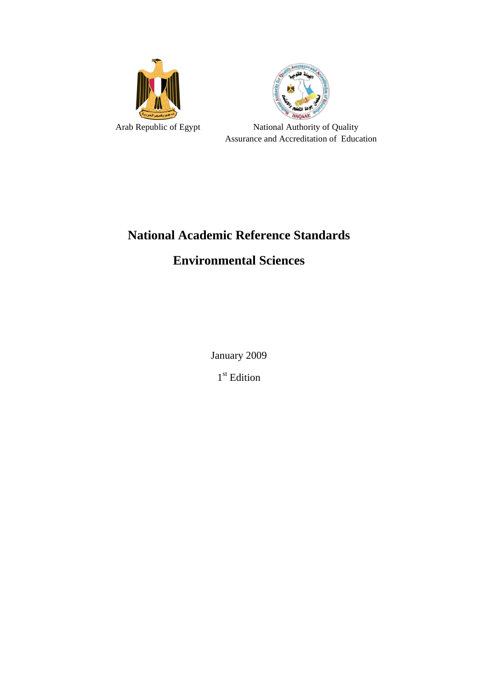



Arab Republic of Egypt National Authority of Quality Assurance and Accreditation of Education

# **National Academic Reference Standards**

# **Environmental Sciences**

January 2009

1<sup>st</sup> Edition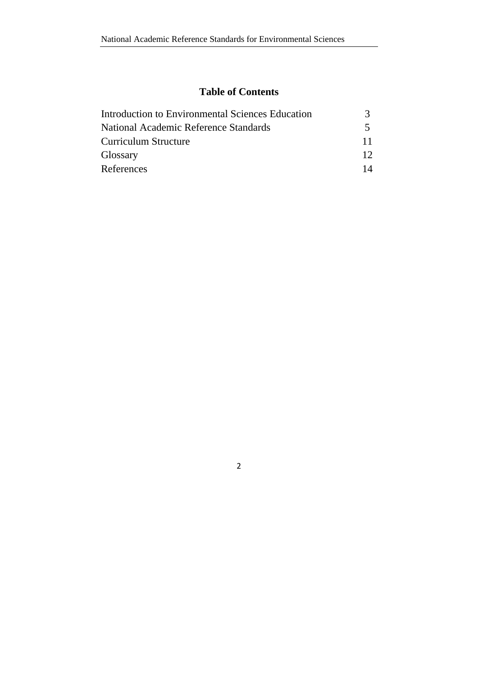# **Table of Contents**

| Introduction to Environmental Sciences Education |                 |
|--------------------------------------------------|-----------------|
| National Academic Reference Standards            |                 |
| Curriculum Structure                             | 11              |
| Glossary                                         | 12 <sup>°</sup> |
| References                                       |                 |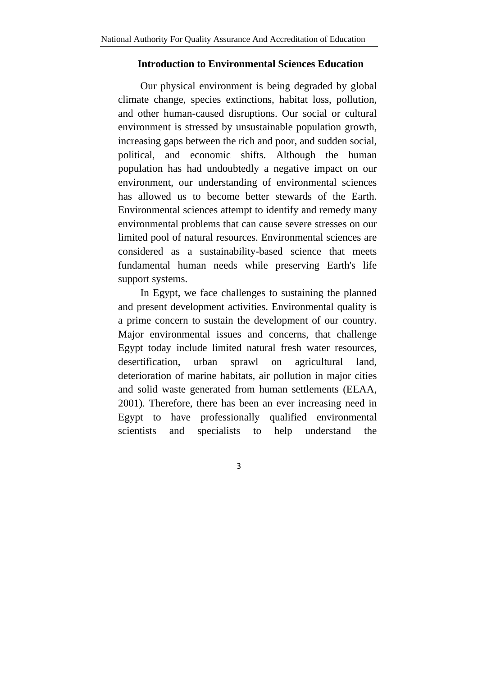#### **Introduction to Environmental Sciences Education**

Our physical environment is being degraded by global climate change, species extinctions, habitat loss, pollution, and other human-caused disruptions. Our social or cultural environment is stressed by unsustainable population growth, increasing gaps between the rich and poor, and sudden social, political, and economic shifts. Although the human population has had undoubtedly a negative impact on our environment, our understanding of environmental sciences has allowed us to become better stewards of the Earth. Environmental sciences attempt to identify and remedy many environmental problems that can cause severe stresses on our limited pool of natural resources. Environmental sciences are considered as a sustainability-based science that meets fundamental human needs while preserving Earth's life support systems.

In Egypt, we face challenges to sustaining the planned and present development activities. Environmental quality is a prime concern to sustain the development of our country. Major environmental issues and concerns, that challenge Egypt today include limited natural fresh water resources, desertification, urban sprawl on agricultural land, deterioration of marine habitats, air pollution in major cities and solid waste generated from human settlements (EEAA, 2001). Therefore, there has been an ever increasing need in Egypt to have professionally qualified environmental scientists and specialists to help understand the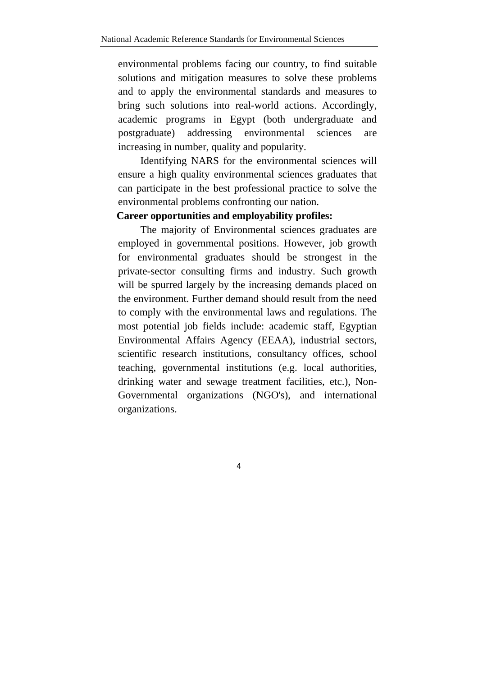environmental problems facing our country, to find suitable solutions and mitigation measures to solve these problems and to apply the environmental standards and measures to bring such solutions into real-world actions. Accordingly, academic programs in Egypt (both undergraduate and postgraduate) addressing environmental sciences are increasing in number, quality and popularity.

Identifying NARS for the environmental sciences will ensure a high quality environmental sciences graduates that can participate in the best professional practice to solve the environmental problems confronting our nation.

### **Career opportunities and employability profiles:**

The majority of Environmental sciences graduates are employed in governmental positions. However, job growth for environmental graduates should be strongest in the private-sector consulting firms and industry. Such growth will be spurred largely by the increasing demands placed on the environment. Further demand should result from the need to comply with the environmental laws and regulations. The most potential job fields include: academic staff, Egyptian Environmental Affairs Agency (EEAA), industrial sectors, scientific research institutions, consultancy offices, school teaching, governmental institutions (e.g. local authorities, drinking water and sewage treatment facilities, etc.), Non-Governmental organizations (NGO's), and international organizations.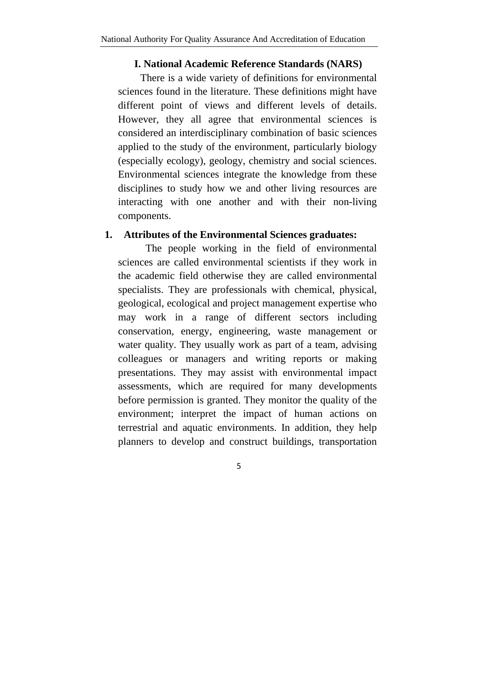#### **I. National Academic Reference Standards (NARS)**

There is a wide variety of definitions for environmental sciences found in the literature. These definitions might have different point of views and different levels of details. However, they all agree that environmental sciences is considered an interdisciplinary combination of basic sciences applied to the study of the environment, particularly biology (especially ecology), geology, chemistry and social sciences. Environmental sciences integrate the knowledge from these disciplines to study how we and other living resources are interacting with one another and with their non-living components.

#### **1. Attributes of the Environmental Sciences graduates:**

The people working in the field of environmental sciences are called environmental scientists if they work in the academic field otherwise they are called environmental specialists. They are professionals with chemical, physical, geological, ecological and project management expertise who may work in a range of different sectors including conservation, energy, engineering, waste management or water quality. They usually work as part of a team, advising colleagues or managers and writing reports or making presentations. They may assist with environmental impact assessments, which are required for many developments before permission is granted. They monitor the quality of the environment; interpret the impact of human actions on terrestrial and aquatic environments. In addition, they help planners to develop and construct buildings, transportation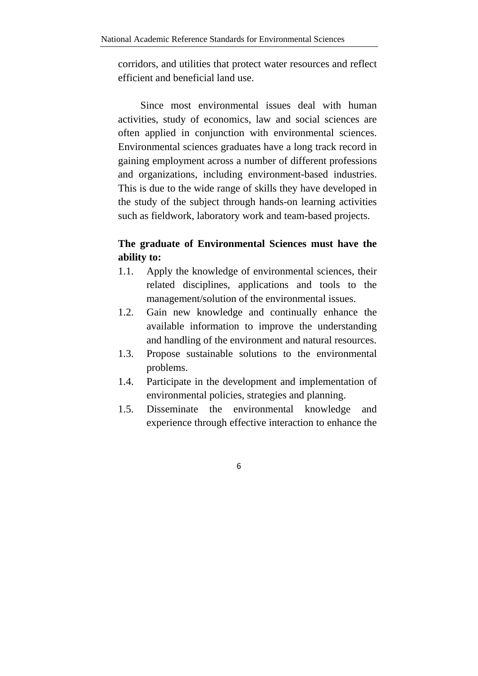corridors, and utilities that protect water resources and reflect efficient and beneficial land use.

Since most environmental issues deal with human activities, study of economics, law and social sciences are often applied in conjunction with environmental sciences. Environmental sciences graduates have a long track record in gaining employment across a number of different professions and organizations, including environment-based industries. This is due to the wide range of skills they have developed in the study of the subject through hands-on learning activities such as fieldwork, laboratory work and team-based projects.

# **The graduate of Environmental Sciences must have the ability to:**

- 1.1. Apply the knowledge of environmental sciences, their related disciplines, applications and tools to the management/solution of the environmental issues.
- 1.2. Gain new knowledge and continually enhance the available information to improve the understanding and handling of the environment and natural resources.
- 1.3. Propose sustainable solutions to the environmental problems.
- 1.4. Participate in the development and implementation of environmental policies, strategies and planning.
- 1.5. Disseminate the environmental knowledge and experience through effective interaction to enhance the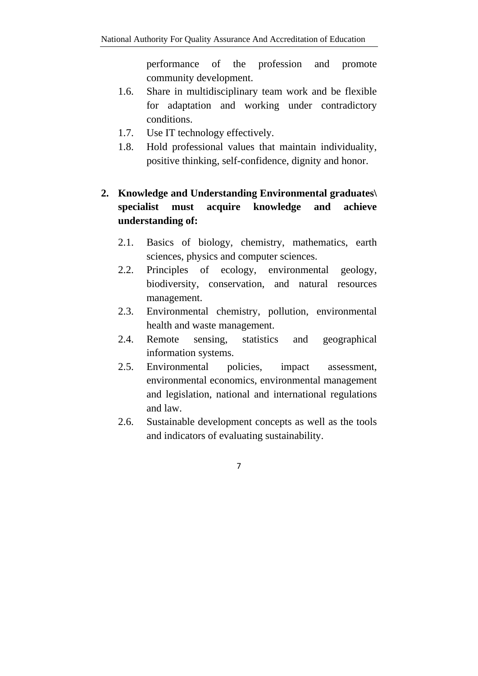performance of the profession and promote community development.

- 1.6. Share in multidisciplinary team work and be flexible for adaptation and working under contradictory conditions.
- 1.7. Use IT technology effectively.
- 1.8. Hold professional values that maintain individuality, positive thinking, self-confidence, dignity and honor.

# **2. Knowledge and Understanding Environmental graduates\ specialist must acquire knowledge and achieve understanding of:**

- 2.1. Basics of biology, chemistry, mathematics, earth sciences, physics and computer sciences.
- 2.2. Principles of ecology, environmental geology, biodiversity, conservation, and natural resources management.
- 2.3. Environmental chemistry, pollution, environmental health and waste management.
- 2.4. Remote sensing, statistics and geographical information systems.
- 2.5. Environmental policies, impact assessment, environmental economics, environmental management and legislation, national and international regulations and law.
- 2.6. Sustainable development concepts as well as the tools and indicators of evaluating sustainability.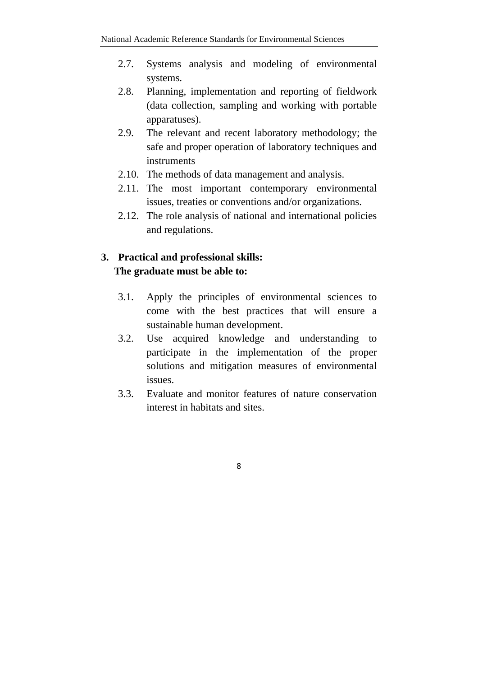- 2.7. Systems analysis and modeling of environmental systems.
- 2.8. Planning, implementation and reporting of fieldwork (data collection, sampling and working with portable apparatuses).
- 2.9. The relevant and recent laboratory methodology; the safe and proper operation of laboratory techniques and instruments
- 2.10. The methods of data management and analysis.
- 2.11. The most important contemporary environmental issues, treaties or conventions and/or organizations.
- 2.12. The role analysis of national and international policies and regulations.

# **3. Practical and professional skills: The graduate must be able to:**

- 3.1. Apply the principles of environmental sciences to come with the best practices that will ensure a sustainable human development.
- 3.2. Use acquired knowledge and understanding to participate in the implementation of the proper solutions and mitigation measures of environmental issues.
- 3.3. Evaluate and monitor features of nature conservation interest in habitats and sites.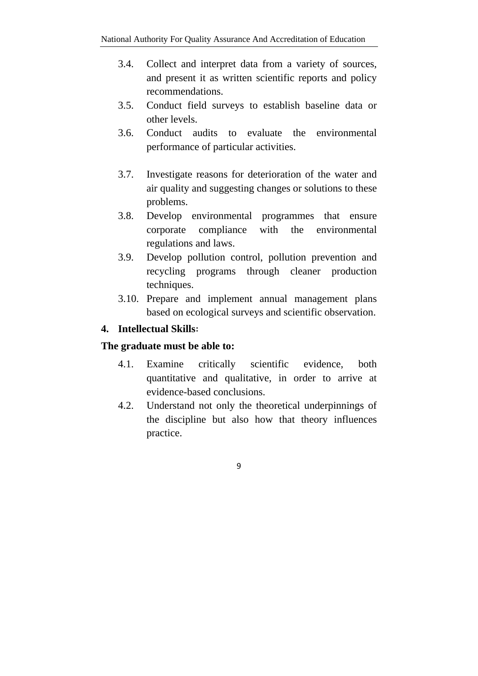- 3.4. Collect and interpret data from a variety of sources, and present it as written scientific reports and policy recommendations.
- 3.5. Conduct field surveys to establish baseline data or other levels.
- 3.6. Conduct audits to evaluate the environmental performance of particular activities.
- 3.7. Investigate reasons for deterioration of the water and air quality and suggesting changes or solutions to these problems.
- 3.8. Develop environmental programmes that ensure corporate compliance with the environmental regulations and laws.
- 3.9. Develop pollution control, pollution prevention and recycling programs through cleaner production techniques.
- 3.10. Prepare and implement annual management plans based on ecological surveys and scientific observation.

# **4. Intellectual Skills:**

## **The graduate must be able to:**

- 4.1. Examine critically scientific evidence, both quantitative and qualitative, in order to arrive at evidence-based conclusions.
- 4.2. Understand not only the theoretical underpinnings of the discipline but also how that theory influences practice.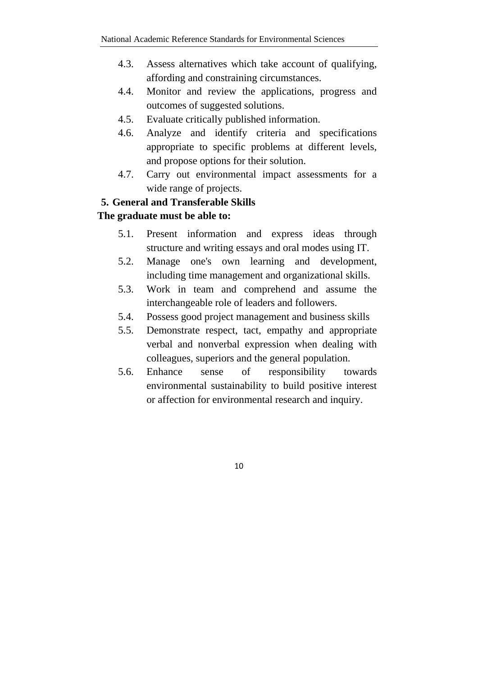- 4.3. Assess alternatives which take account of qualifying, affording and constraining circumstances.
- 4.4. Monitor and review the applications, progress and outcomes of suggested solutions.
- 4.5. Evaluate critically published information.
- 4.6. Analyze and identify criteria and specifications appropriate to specific problems at different levels, and propose options for their solution.
- 4.7. Carry out environmental impact assessments for a wide range of projects.

# **5. General and Transferable Skills**

## **The graduate must be able to:**

- 5.1. Present information and express ideas through structure and writing essays and oral modes using IT.
- 5.2. Manage one's own learning and development, including time management and organizational skills.
- 5.3. Work in team and comprehend and assume the interchangeable role of leaders and followers.
- 5.4. Possess good project management and business skills
- 5.5. Demonstrate respect, tact, empathy and appropriate verbal and nonverbal expression when dealing with colleagues, superiors and the general population.
- 5.6. Enhance sense of responsibility towards environmental sustainability to build positive interest or affection for environmental research and inquiry.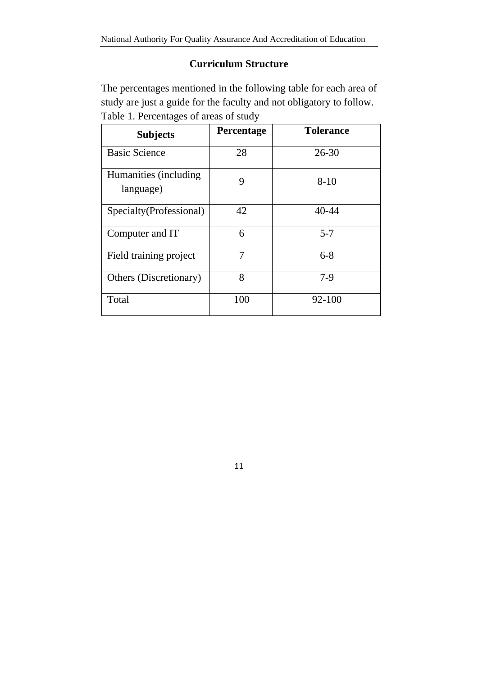# **Curriculum Structure**

The percentages mentioned in the following table for each area of study are just a guide for the faculty and not obligatory to follow. Table 1. Percentages of areas of study

| <b>Subjects</b>                     | Percentage | <b>Tolerance</b> |
|-------------------------------------|------------|------------------|
| <b>Basic Science</b>                | 28         | $26 - 30$        |
| Humanities (including)<br>language) | 9          | $8 - 10$         |
| Specialty (Professional)            | 42         | $40 - 44$        |
| Computer and IT                     | 6          | $5 - 7$          |
| Field training project              | 7          | $6 - 8$          |
| Others (Discretionary)              | 8          | $7-9$            |
| Total                               | 100        | 92-100           |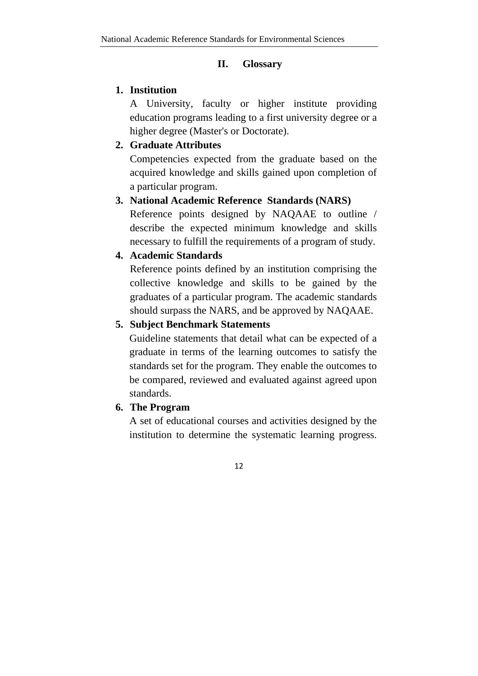#### **II. Glossary**

## **1. Institution**

A University, faculty or higher institute providing education programs leading to a first university degree or a higher degree (Master's or Doctorate).

# **2. Graduate Attributes**

Competencies expected from the graduate based on the acquired knowledge and skills gained upon completion of a particular program.

#### **3. National Academic Reference Standards (NARS)**

Reference points designed by NAQAAE to outline / describe the expected minimum knowledge and skills necessary to fulfill the requirements of a program of study*.*

#### **4. Academic Standards**

Reference points defined by an institution comprising the collective knowledge and skills to be gained by the graduates of a particular program. The academic standards should surpass the NARS, and be approved by NAQAAE.

#### **5. Subject Benchmark Statements**

Guideline statements that detail what can be expected of a graduate in terms of the learning outcomes to satisfy the standards set for the program. They enable the outcomes to be compared, reviewed and evaluated against agreed upon standards.

## **6. The Program**

A set of educational courses and activities designed by the institution to determine the systematic learning progress.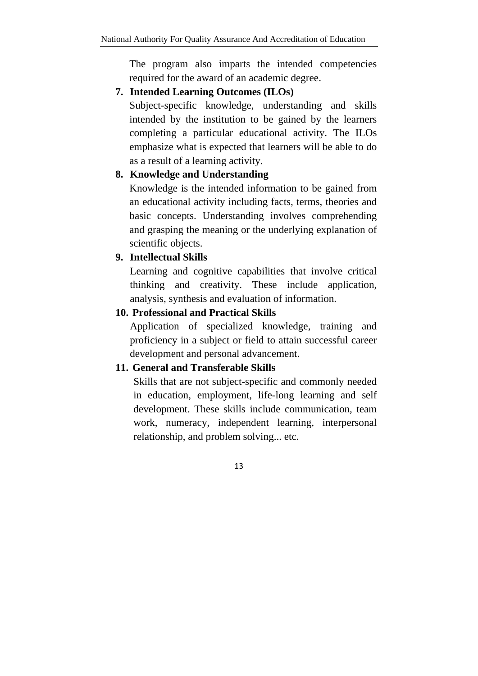The program also imparts the intended competencies required for the award of an academic degree.

#### **7. Intended Learning Outcomes (ILOs)**

Subject-specific knowledge, understanding and skills intended by the institution to be gained by the learners completing a particular educational activity. The ILOs emphasize what is expected that learners will be able to do as a result of a learning activity.

#### **8. Knowledge and Understanding**

Knowledge is the intended information to be gained from an educational activity including facts, terms, theories and basic concepts. Understanding involves comprehending and grasping the meaning or the underlying explanation of scientific objects.

#### **9. Intellectual Skills**

Learning and cognitive capabilities that involve critical thinking and creativity. These include application, analysis, synthesis and evaluation of information.

#### **10. Professional and Practical Skills**

Application of specialized knowledge, training and proficiency in a subject or field to attain successful career development and personal advancement.

#### **11. General and Transferable Skills**

Skills that are not subject-specific and commonly needed in education, employment, life-long learning and self development. These skills include communication, team work, numeracy, independent learning, interpersonal relationship, and problem solving... etc.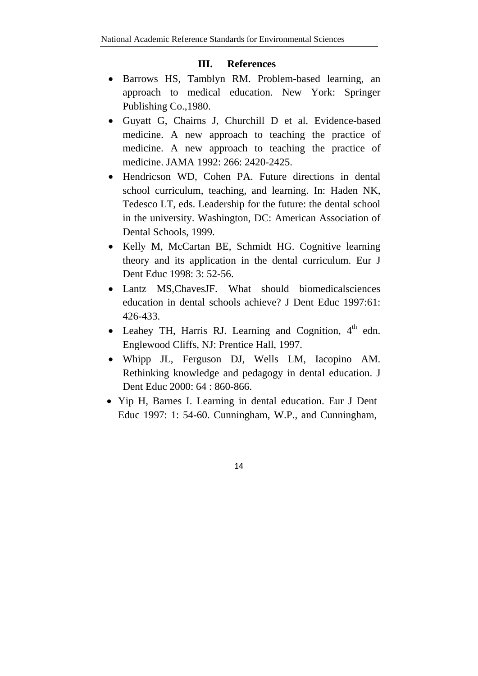# **III. References**

- Barrows HS, Tamblyn RM. Problem-based learning, an approach to medical education. New York: Springer Publishing Co.,1980.
- Guyatt G, Chairns J, Churchill D et al. Evidence-based medicine. A new approach to teaching the practice of medicine. A new approach to teaching the practice of medicine. JAMA 1992: 266: 2420-2425.
- Hendricson WD, Cohen PA. Future directions in dental school curriculum, teaching, and learning. In: Haden NK, Tedesco LT, eds. Leadership for the future: the dental school in the university. Washington, DC: American Association of Dental Schools, 1999.
- Kelly M, McCartan BE, Schmidt HG. Cognitive learning theory and its application in the dental curriculum. Eur J Dent Educ 1998: 3: 52-56.
- Lantz MS, Chaves JF. What should biomedical sciences education in dental schools achieve? J Dent Educ 1997:61: 426-433.
- $\bullet$  Leahey TH, Harris RJ. Learning and Cognition,  $4<sup>th</sup>$  edn. Englewood Cliffs, NJ: Prentice Hall, 1997.
- Whipp JL, Ferguson DJ, Wells LM, Iacopino AM. Rethinking knowledge and pedagogy in dental education. J Dent Educ 2000: 64 : 860-866.
- Yip H, Barnes I. Learning in dental education. Eur J Dent Educ 1997: 1: 54-60. Cunningham, W.P., and Cunningham,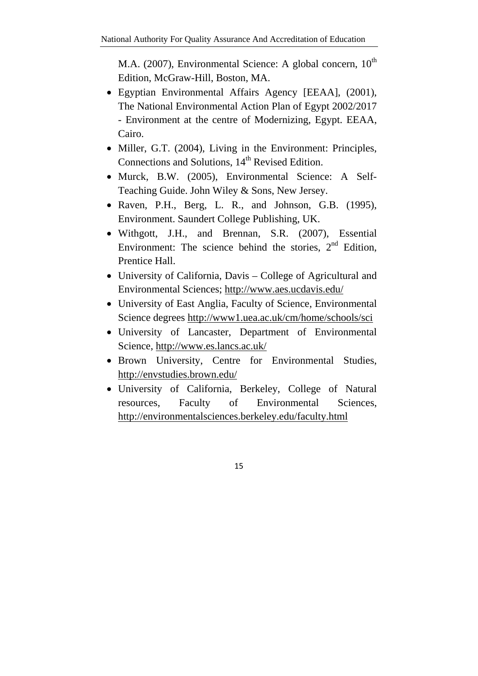M.A. (2007), Environmental Science: A global concern,  $10^{th}$ Edition, McGraw-Hill, Boston, MA.

- Egyptian Environmental Affairs Agency [EEAA], (2001), The National Environmental Action Plan of Egypt 2002/2017 - Environment at the centre of Modernizing, Egypt. EEAA, Cairo.
- Miller, G.T. (2004), Living in the Environment: Principles, Connections and Solutions,  $14<sup>th</sup>$  Revised Edition.
- Murck, B.W. (2005), Environmental Science: A Self-Teaching Guide. John Wiley & Sons, New Jersey.
- Raven, P.H., Berg, L. R., and Johnson, G.B. (1995), Environment. Saundert College Publishing, UK.
- Withgott, J.H., and Brennan, S.R. (2007), Essential Environment: The science behind the stories,  $2<sup>nd</sup>$  Edition, Prentice Hall.
- University of California, Davis College of Agricultural and Environmental Sciences; http://www.aes.ucdavis.edu/
- University of East Anglia, Faculty of Science, Environmental Science degrees http://www1.uea.ac.uk/cm/home/schools/sci
- University of Lancaster, Department of Environmental Science, http://www.es.lancs.ac.uk/
- Brown University, Centre for Environmental Studies, http://envstudies.brown.edu/
- University of California, Berkeley, College of Natural resources, Faculty of Environmental Sciences, http://environmentalsciences.berkeley.edu/faculty.html